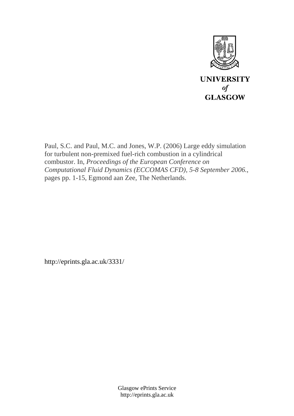

Paul, S.C. and Paul, M.C. and Jones, W.P. (2006) Large eddy simulation for turbulent non-premixed fuel-rich combustion in a cylindrical combustor. In, *Proceedings of the European Conference on Computational Fluid Dynamics (ECCOMAS CFD), 5-8 September 2006.*, pages pp. 1-15, Egmond aan Zee, The Netherlands.

http://eprints.gla.ac.uk/3331/

Glasgow ePrints Service http://eprints.gla.ac.uk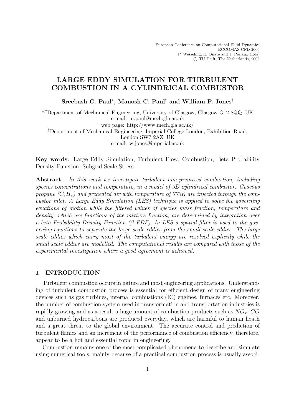# **LARGE EDDY SIMULATION FOR TURBULENT COMBUSTION IN A CYLINDRICAL COMBUSTOR**

**Sreebash C. Paul**∗**, Manosh C. Paul**† **and William P. Jones**‡

<sup>∗</sup>,†Department of Mechanical Engineering, University of Glasgow, Glasgow G12 8QQ, UK e-mail: m.paul@mech.gla.ac.uk web page: http://www.mech.gla.ac.uk/ ‡Department of Mechanical Engineering, Imperial College London, Exhibition Road, London SW7 2AZ, UK e-mail: w.jones@imperial.ac.uk

**Key words:** Large Eddy Simulation, Turbulent Flow, Combustion, Beta Probability Density Function, Subgrid Scale Stress

**Abstract.** *In this work we investigate turbulent non-premixed combustion, including species concentrations and temperature, in a model of 3D cylindrical combustor. Gaseous* propane  $(C_3H_8)$  and preheated air with temperature of  $773K$  are injected through the com*bustor inlet. A Large Eddy Simulation (LES) technique is applied to solve the governing equations of motion while the filtered values of species mass fraction, temperature and density, which are functions of the mixture fraction, are determined by integration over a beta Probability Density Function (*β*-PDF). In LES a spatial filter is used to the governing equations to separate the large scale eddies from the small scale eddies. The large scale eddies which carry most of the turbulent energy are resolved explicitly while the small scale eddies are modelled. The computational results are compared with those of the experimental investigation where a good agreement is achieved.*

#### **1 INTRODUCTION**

Turbulent combustion occurs in nature and most engineering applications. Understanding of turbulent combustion process is essential for efficient design of many engineering devices such as gas turbines, internal combustions (IC) engines, furnaces etc. Moreover, the number of combustion system used in transformation and transportation industries is rapidly growing and as a result a huge amount of combustion products such as  $NO_x$ ,  $CO$ and unburned hydrocarbons are produced everyday, which are harmful to human heath and a great threat to the global environment. The accurate control and prediction of turbulent flames and an increment of the performance of combustion efficiency, therefore, appear to be a hot and essential topic in engineering.

Combustion remains one of the most complicated phenomena to describe and simulate using numerical tools, mainly because of a practical combustion process is usually associ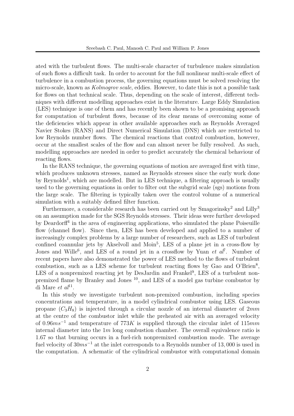ated with the turbulent flows. The multi-scale character of turbulence makes simulation of such flows a difficult task. In order to account for the full nonlinear multi-scale effect of turbulence in a combustion process, the governing equations must be solved resolving the micro-scale, known as *Kolmogrov scale*, eddies. However, to date this is not a possible task for flows on that technical scale. Thus, depending on the scale of interest, different techniques with different modelling approaches exist in the literature. Large Eddy Simulation (LES) technique is one of them and has recently been shown to be a promising approach for computation of turbulent flows, because of its clear means of overcoming some of the deficiencies which appear in other available approaches such as Reynolds Averaged Navier Stokes (RANS) and Direct Numerical Simulation (DNS) which are restricted to low Reynolds number flows. The chemical reactions that control combustion, however, occur at the smallest scales of the flow and can almost never be fully resolved. As such, modelling approaches are needed in order to predict accurately the chemical behaviour of reacting flows.

In the RANS technique, the governing equations of motion are averaged first with time, which produces unknown stresses, named as Reynolds stresses since the early work done by Reynolds<sup>1</sup>, which are modelled. But in LES technique, a filtering approach is usually used to the governing equations in order to filter out the subgrid scale (sgs) motions from the large scale. The filtering is typically taken over the control volume of a numerical simulation with a suitably defined filter function.

Furthermore, a considerable research has been carried out by  $Smagorinsky<sup>2</sup>$  and Lilly<sup>3</sup> on an assumption made for the SGS Reynolds stresses. Their ideas were further developed by Deardorff<sup>4</sup> in the area of engineering applications, who simulated the plane Poiseuille flow (channel flow). Since then, LES has been developed and applied to a number of increasingly complex problems by a large number of researchers, such as LES of turbulent confined coannular jets by Akselvoll and Moin<sup>5</sup>, LES of a plane jet in a cross-flow by Jones and Wille<sup>6</sup>, and LES of a round jet in a crossflow by Yuan *et al*<sup>7</sup>. Number of recent papers have also demonstrated the power of LES method to the flows of turbulent combustion, such as a LES scheme for turbulent reacting flows by Gao and O'Brien $^8$ , LES of a nonpremixed reacting jet by DesJardin and Frankel<sup>9</sup>, LES of a turbulent nonpremixed flame by Branley and Jones <sup>10</sup>, and LES of a model gas turbine combustor by di Mare *et al*<sup>11</sup>.

In this study we investigate turbulent non-premixed combustion, including species concentrations and temperature, in a model cylindrical combustor using LES. Gaseous propane  $(C_3H_8)$  is injected through a circular nozzle of an internal diameter of 2mm at the centre of the combustor inlet while the preheated air with an averaged velocity of 0.96 $ms^{-1}$  and temperature of 773K is supplied through the circular inlet of 115 $mm$ internal diameter into the  $1m$  long combustion chamber. The overall equivalence ratio is 1.67 so that burning occurs in a fuel-rich nonpremixed combustion mode. The average fuel velocity of  $30ms^{-1}$  at the inlet corresponds to a Reynolds number of 13,000 is used in the computation. A schematic of the cylindrical combustor with computational domain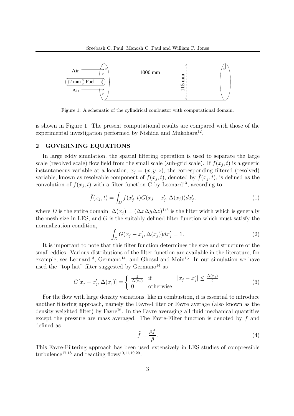

Figure 1: A schematic of the cylindrical combustor with computational domain.

is shown in Figure 1. The present computational results are compared with those of the experimental investigation performed by Nishida and Mukohara<sup>12</sup>.

# **2 GOVERNING EQUATIONS**

In large eddy simulation, the spatial filtering operation is used to separate the large scale (resolved scale) flow field from the small scale (sub-grid scale). If  $f(x_i, t)$  is a generic instantaneous variable at a location,  $x_i = (x, y, z)$ , the corresponding filtered (resolved) variable, known as resolvable component of  $f(x_j, t)$ , denoted by  $\bar{f}(x_j, t)$ , is defined as the convolution of  $f(x_i, t)$  with a filter function G by Leonard<sup>13</sup>, according to

$$
\bar{f}(x_j, t) = \int_D f(x'_j, t) G(x_j - x'_j, \Delta(x_j)) dx'_j,
$$
\n(1)

where D is the entire domain;  $\Delta(x_i) = (\Delta x \Delta y \Delta z)^{1/3}$  is the filter width which is generally the mesh size in LES; and  $G$  is the suitably defined filter function which must satisfy the normalization condition,

$$
\int_{D} G(x_{j} - x'_{j}, \Delta(x_{j})) dx'_{j} = 1.
$$
\n(2)

It is important to note that this filter function determines the size and structure of the small eddies. Various distributions of the filter function are available in the literature, for example, see Leonard<sup>13</sup>, Germano<sup>14</sup>, and Ghosal and Moin<sup>15</sup>. In our simulation we have used the "top hat" filter suggested by  $Germano<sup>14</sup>$  as

$$
G[x_j - x'_j, \Delta(x_j)] = \begin{cases} \frac{1}{\Delta(x_j)} & \text{if} \quad |x_j - x'_j| \le \frac{\Delta(x_j)}{2} \\ 0 & \text{otherwise} \end{cases}
$$
(3)

For the flow with large density variations, like in combustion, it is essential to introduce another filtering approach, namely the Favre-Filter or Favre average (also known as the density weighted filter) by Favre<sup>16</sup>. In the Favre averaging all fluid mechanical quantities except the pressure are mass averaged. The Favre-Filter function is denoted by  $f$  and defined as

$$
\tilde{f} = \frac{\overline{\rho f}}{\overline{\rho}}.\tag{4}
$$

This Favre-Filtering approach has been used extensively in LES studies of compressible turbulence<sup>17,18</sup> and reacting flows<sup>10,11,19,20</sup>.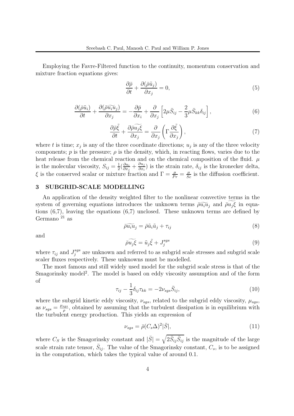Employing the Favre-Filtered function to the continuity, momentum conservation and mixture fraction equations gives:

$$
\frac{\partial \bar{\rho}}{\partial t} + \frac{\partial (\bar{\rho}\tilde{u}_j)}{\partial x_j} = 0,\tag{5}
$$

$$
\frac{\partial(\bar{\rho}\tilde{u}_i)}{\partial t} + \frac{\partial(\bar{\rho}\tilde{u}_i\tilde{u}_j)}{\partial x_j} = -\frac{\partial\bar{p}}{\partial x_i} + \frac{\partial}{\partial x_j} \left[2\mu\bar{S}_{ij} - \frac{2}{3}\mu\bar{S}_{kk}\delta_{ij}\right],\tag{6}
$$

$$
\frac{\partial \bar{\rho}\tilde{\xi}}{\partial t} + \frac{\partial \bar{\rho}\widetilde{u_j}\widetilde{\xi}}{\partial x_j} = \frac{\partial}{\partial x_j} \left( \Gamma \frac{\partial \tilde{\xi}}{\partial x_j} \right),\tag{7}
$$

where t is time;  $x_i$  is any of the three coordinate directions;  $u_i$  is any of the three velocity components;  $p$  is the pressure;  $\rho$  is the density, which, in reacting flows, varies due to the heat release from the chemical reaction and on the chemical composition of the fluid.  $\mu$ is the molecular viscosity,  $S_{ij} = \frac{1}{2} \left( \frac{\partial u_i}{\partial x_j} \right)$  $+\frac{\partial u_j}{\partial x_j}$  $\frac{\partial u_j}{\partial x_i}$  is the strain rate,  $\delta_{ij}$  is the kronecker delta, ξ is the conserved scalar or mixture fraction and  $\Gamma = \frac{\mu}{Pr} = \frac{\mu}{Sc}$  is the diffusion coefficient.

### **3 SUBGRID-SCALE MODELLING**

An application of the density weighted filter to the nonlinear convective terms in the system of governing equations introduces the unknown terms  $\bar{\rho} \widetilde{u_i u_j}$  and  $\bar{\rho} \widetilde{u_j \xi}$  in equations (6,7), leaving the equations (6,7) unclosed. These unknown terms are defined by Germano  $^{21}$  as

$$
\overline{\rho}\widetilde{u_i u_j} = \overline{\rho}\widetilde{u}_i \widetilde{u}_j + \tau_{ij}
$$
\n(8)

and

$$
\widetilde{\rho u_j \xi} = \widetilde{u}_j \widetilde{\xi} + J_j^{sgs} \tag{9}
$$

where  $\tau_{ij}$  and  $J_j^{sgs}$  are unknown and referred to as subgrid scale stresses and subgrid scale scaler fluxes respectively. These unknowns must be modelled.

The most famous and still widely used model for the subgrid scale stress is that of the Smagorinsky model<sup>2</sup>. The model is based on eddy viscosity assumption and of the form of

$$
\tau_{ij} - \frac{1}{3} \delta_{ij} \tau_{kk} = -2\nu_{sgs} \bar{S}_{ij},\tag{10}
$$

where the subgrid kinetic eddy viscosity,  $\nu_{sgs}$ , related to the subgrid eddy viscosity,  $\mu_{sgs}$ , as  $\nu_{sgs} = \frac{\mu_{sgs}}{\rho}$ , obtained by assuming that the turbulent dissipation is in equilibrium with the turbulent energy production. This yields an expression of

$$
\nu_{sgs} = \bar{\rho}(C_s \Delta)^2 |\bar{S}|,\tag{11}
$$

where  $C_S$  is the Smagorinsky constant and  $|\bar{S}| = \sqrt{2 \bar{S}_{ij} \bar{S}_{ij}}$  is the magnitude of the large scale strain rate tensor,  $\bar{S}_{ij}$ . The value of the Smagorinsky constant,  $C_s$ , is to be assigned in the computation, which takes the typical value of around 0.1.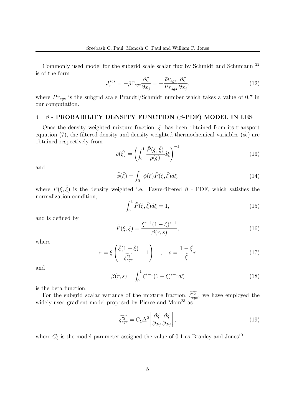Commonly used model for the subgrid scale scalar flux by Schmidt and Schumann <sup>22</sup> is of the form

$$
J_j^{sgs} = -\bar{\rho}\Gamma_{sgs}\frac{\partial \tilde{\xi}}{\partial x_j} = -\frac{\bar{\rho}\nu_{sgs}}{Pr_{sgs}}\frac{\partial \tilde{\xi}}{\partial x_j},\tag{12}
$$

where  $Pr_{sgs}$  is the subgrid scale Prandtl/Schmidt number which takes a value of 0.7 in our computation.

## **4** β **- PROBABILITY DENSITY FUNCTION (**β**-PDF) MODEL IN LES**

Once the density weighted mixture fraction,  $\tilde{\xi}$ , has been obtained from its transport equation (7), the filtered density and density weighted thermochemical variables ( $\tilde{\phi}_i$ ) are obtained respectively from

$$
\bar{\rho}(\tilde{\xi}) = \left(\int_0^1 \frac{\tilde{P}(\xi, \tilde{\xi})}{\rho(\xi)} d\xi\right)^{-1} \tag{13}
$$

and

$$
\tilde{\phi}(\tilde{\xi}) = \int_0^1 \phi(\xi) \tilde{P}(\xi, \tilde{\xi}) d\xi,\tag{14}
$$

where  $\tilde{P}(\xi, \tilde{\xi})$  is the density weighted i.e. Favre-filtered  $\beta$  - PDF, which satisfies the normalization condition,

$$
\int_0^1 \tilde{P}(\xi, \tilde{\xi}) d\xi = 1,\tag{15}
$$

and is defined by

$$
\tilde{P}(\xi, \tilde{\xi}) = \frac{\xi^{r-1} (1 - \xi)^{s-1}}{\beta(r, s)},
$$
\n(16)

where

$$
r = \tilde{\xi} \left( \frac{\tilde{\xi}(1 - \tilde{\xi})}{\tilde{\xi}_{sgs}^{'2}} - 1 \right) , \quad s = \frac{1 - \tilde{\xi}}{\tilde{\xi}} r
$$
 (17)

and

$$
\beta(r,s) = \int_0^1 \xi^{r-1} (1-\xi)^{s-1} d\xi \tag{18}
$$

is the beta function.

For the subgrid scalar variance of the mixture fraction,  $\widetilde{\xi_{sgs}}^2$ , we have employed the widely used gradient model proposed by Pierce and Moin<sup>23</sup> as

$$
\widetilde{\xi_{sgs}^{'2}} = C_{\xi} \Delta^2 \left| \frac{\partial \tilde{\xi}}{\partial x_j} \frac{\partial \tilde{\xi}}{\partial x_j} \right|,\tag{19}
$$

where  $C_{\xi}$  is the model parameter assigned the value of 0.1 as Branley and Jones<sup>10</sup>.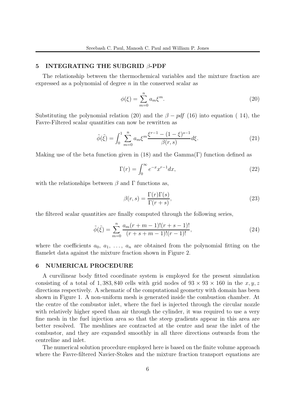#### **5 INTEGRATING THE SUBGRID** β**-PDF**

The relationship between the thermochemical variables and the mixture fraction are expressed as a polynomial of degree  $n$  in the conserved scalar as

$$
\phi(\xi) = \sum_{m=0}^{n} a_m \xi^m.
$$
\n(20)

Substituting the polynomial relation (20) and the  $\beta - pdf$  (16) into equation (14), the Favre-Filtered scalar quantities can now be rewritten as

$$
\tilde{\phi}(\tilde{\xi}) = \int_0^1 \sum_{m=0}^n a_m \xi^m \frac{\xi^{r-1} - (1 - \xi)^{s-1}}{\beta(r, s)} d\xi.
$$
\n(21)

Making use of the beta function given in (18) and the Gamma(Γ) function defined as

$$
\Gamma(r) = \int_0^\infty e^{-x} x^{r-1} dx,\tag{22}
$$

with the relationships between  $\beta$  and  $\Gamma$  functions as,

$$
\beta(r,s) = \frac{\Gamma(r)\Gamma(s)}{\Gamma(r+s)},\tag{23}
$$

the filtered scalar quantities are finally computed through the following series,

$$
\tilde{\phi}(\tilde{\xi}) = \sum_{m=0}^{n} \frac{a_m(r+m-1)!(r+s-1)!}{(r+s+m-1)!(r-1)!},
$$
\n(24)

where the coefficients  $a_0, a_1, \ldots, a_n$  are obtained from the polynomial fitting on the flamelet data against the mixture fraction shown in Figure 2.

#### **6 NUMERICAL PROCEDURE**

A curvilinear body fitted coordinate system is employed for the present simulation consisting of a total of 1, 383, 840 cells with grid nodes of  $93 \times 93 \times 160$  in the  $x, y, z$ directions respectively. A schematic of the computational geometry with domain has been shown in Figure 1. A non-uniform mesh is generated inside the combustion chamber. At the centre of the combustor inlet, where the fuel is injected through the circular nozzle with relatively higher speed than air through the cylinder, it was required to use a very fine mesh in the fuel injection area so that the steep gradients appear in this area are better resolved. The meshlines are contracted at the centre and near the inlet of the combustor, and they are expanded smoothly in all three directions outwards from the centreline and inlet.

The numerical solution procedure employed here is based on the finite volume approach where the Favre-filtered Navier-Stokes and the mixture fraction transport equations are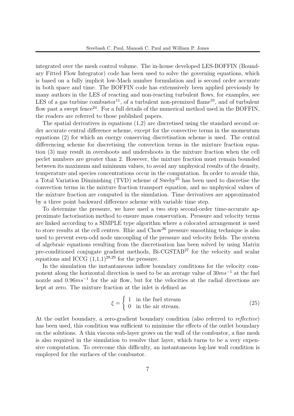integrated over the mesh control volume. The in-house developed LES-BOFFIN (Boundary Fitted Flow Integrator) code has been used to solve the governing equations, which is based on a fully implicit low-Mach number formulation and is second order accurate in both space and time. The BOFFIN code has extenssively been applied previously by many authors in the LES of reacting and non-reacting turbulent flows, for examples, see LES of a gas turbine combustor<sup>11</sup>, of a turbulent non-premixed flame<sup>10</sup>, and of turbulent flow past a swept fence<sup>24</sup>. For a full details of the numerical method used in the BOFFIN, the readers are referred to those published papers.

The spatial derivatives in equations (1,2) are discretised using the standard second order accurate central difference scheme, except for the convective terms in the momentum equations (2) for which an energy conserving discretisation scheme is used. The central differencing scheme for discretising the convection terms in the mixture fraction equation (3) may result in overshoots and undershoots in the mixture fraction when the cell peclet numbers are greater than 2. However, the mixture fraction must remain bounded between its maximum and minimum values, to avoid any unphysical results of the density, temperature and species concentrations occur in the computation. In order to avoide this, a Total Variation Diminishing (TVD) scheme of Sweby<sup>25</sup> has been used to discretise the convection terms in the mixture fraction transport equation, and no unphysical values of the mixture fraction are computed in the simulation. Time derivatives are approximated by a three point backward difference scheme with variable time step.

To determine the pressure, we have used a two step second-order time-accurate approximate factorisation method to ensure mass conservation. Pressure and velocity terms are linked according to a SIMPLE type algorithm where a colocated arrangement is used to store results at the cell centres. Rhie and Chow<sup>26</sup> pressure smoothing technique is also used to prevent even-odd node uncoupling of the pressure and velocity fields. The system of algebraic equations resulting from the discretisation has been solved by using Matrix pre-conditioned conjugate gradient methods,  $Bi-CGSTAB^{27}$  for the velocity and scalar equations and ICCG  $(1,1,1)^{28,29}$  for the pressure.

In the simulation the instantaneous inflow boundary conditions for the velocity component along the horizontal direction is used to be an average value of  $30ms<sup>-1</sup>$  at the fuel nozzle and  $0.96ms^{-1}$  for the air flow, but for the velocities at the radial directions are kept at zero. The mixture fraction at the inlet is defined as

$$
\xi = \begin{cases} 1 & \text{in the fuel stream} \\ 0 & \text{in the air stream.} \end{cases}
$$
 (25)

At the outlet boundary, a zero-gradient boundary condition (also referred to *reflective*) has been used, this condition was sufficient to minimise the effects of the outlet boundary on the solutions. A thin viscous sub-layer grows on the wall of the combustor, a fine mesh is also required in the simulation to resolve that layer, which turns to be a very expensive computation. To overcome this difficulty, an instantaneous log-law wall condition is employed for the surfaces of the combustor.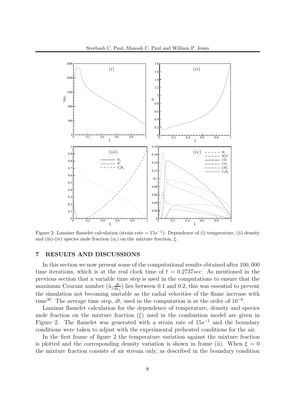

Figure 2: Laminer flamelet calculation (strain rate = 15s*−*<sup>1</sup>): Dependence of (i) temperature, (ii) density and (iii)-(iv) species mole fraction  $(\phi_i)$  on the mixture fraction,  $\xi$ .

#### **7 RESULTS AND DISCUSSIONS**

In this section we now present some of the computational results obtained after 100, 000 time iterations, which is at the real clock time of  $t = 0.2737 \text{sec}$ . As mentioned in the previous section that a variable time step is used in the computations to ensure that the maximum Courant number  $(\tilde{u}_j \frac{dt}{dx})$  $\frac{dx_j}{=}$ ) lies between 0.1 and 0.2, this was essential to prevent the simulation not becoming unstable as the radial velocities of the flame increase with time<sup>30</sup>. The average time step, dt, used in the computation is at the order of  $10^{-6}$ .

Laminar flamelet calculation for the dependence of temperature, density and species mole fraction on the mixture fraction  $(\xi)$  used in the combustion model are given in Figure 2. The flamelet was generated with a strain rate of  $15s^{-1}$  and the boundary conditions were taken to adjust with the experimental preheated conditions for the air.

In the first frame of figure 2 the temperature variation against the mixture fraction is plotted and the corresponding density variation is shown in frame (ii). When  $\xi = 0$ the mixture fraction consists of air stream only, as described in the boundary condition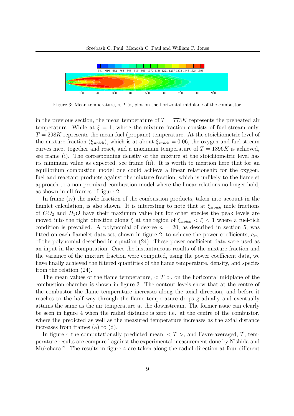

Figure 3: Mean temperature,  $\langle \tilde{T} \rangle$ , plot on the horizontal midplane of the combustor.

in the previous section, the mean temperature of  $T = 773K$  represents the preheated air temperature. While at  $\xi = 1$ , where the mixture fraction consists of fuel stream only,  $T = 298K$  represents the mean fuel (propane) temperature. At the stoichiometric level of the mixture fraction ( $\xi_{stoich}$ ), which is at about  $\xi_{stoich} = 0.06$ , the oxygen and fuel stream curves meet together and react, and a maximum temperature of  $T = 1896K$  is achieved, see frame (i). The corresponding density of the mixture at the stoichiometric level has its minimum value as expected, see frame (ii). It is worth to mention here that for an equilibrium combustion model one could achieve a linear relationship for the oxygen, fuel and reactant products against the mixture fraction, which is unlikely to the flamelet approach to a non-premixed combustion model where the linear relations no longer hold, as shown in all frames of figure 2.

In frame (iv) the mole fraction of the combustion products, taken into account in the flamlet calculation, is also shown. It is interesting to note that at  $\xi_{stoich}$  mole fractions of  $CO_2$  and  $H_2O$  have their maximum value but for other species the peak levels are moved into the right direction along  $\xi$  at the region of  $\xi_{stoich} < \xi < 1$  where a fuel-rich condition is prevailed. A polynomial of degree  $n = 20$ , as described in section 5, was fitted on each flamelet data set, shown in figure 2, to achieve the power coefficients,  $a_m$ , of the polynomial described in equation (24). These power coefficient data were used as an input in the computation. Once the instantaneous results of the mixture fraction and the variance of the mixture fraction were computed, using the power coefficient data, we have finally achieved the filtered quantities of the flame temperature, density, and species from the relation (24).

The mean values of the flame temperature,  $\langle \tilde{T} \rangle$ , on the horizontal midplane of the combustion chamber is shown in figure 3. The contour levels show that at the centre of the combustor the flame temperature increases along the axial direction, and before it reaches to the half way through the flame temperature drops gradually and eventually attains the same as the air temperature at the downstream. The former issue can clearly be seen in figure 4 when the radial distance is zero i.e. at the centre of the combustor, where the predicted as well as the measured temperature increases as the axial distance increases from frames (a) to (d).

In figure 4 the computationally predicted mean,  $\langle \tilde{T} \rangle$ , and Favre-averaged,  $\tilde{T}$ , temperature results are compared against the experimental measurement done by Nishida and Mukohara<sup>12</sup>. The results in figure 4 are taken along the radial direction at four different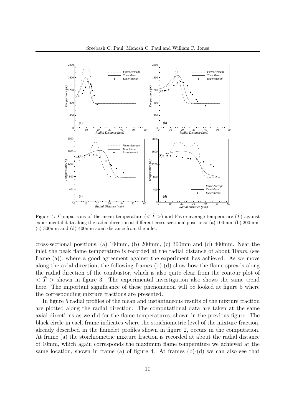

Figure 4: Comparisons of the mean temperature  $( $\tilde{T}$  > ) and Favre average temperature  $(\tilde{T})$  against$ experimental data along the radial direction at different cross-sectional positions: (a) 100mm, (b) 200mm, (c) 300mm and (d) 400mm axial distance from the inlet.

cross-sectional positions, (a) 100mm, (b) 200mm, (c) 300mm and (d) 400mm. Near the inlet the peak flame temperature is recorded at the radial distance of about  $10mm$  (see frame (a)), where a good agreement against the experiment has achieved. As we move along the axial direction, the following frames  $(b)-(d)$  show how the flame spreads along the radial direction of the combustor, which is also quite clear from the contour plot of  $\langle \tilde{T} \rangle$  shown in figure 3. The experimental investigation also shows the same trend here. The important significance of these phenomenon will be looked at figure 5 where the corresponding mixture fractions are presented.

In figure 5 radial profiles of the mean and instantaneous results of the mixture fraction are plotted along the radial direction. The computational data are taken at the same axial directions as we did for the flame temperatures, shown in the previous figure. The black circle in each frame indicates where the stoichiometric level of the mixture fraction, already described in the flamelet profiles shown in figure 2, occurs in the computation. At frame (a) the stoichiometric mixture fraction is recorded at about the radial distance of 10mm, which again corresponds the maximum flame temperature we achieved at the same location, shown in frame (a) of figure 4. At frames  $(b)-(d)$  we can also see that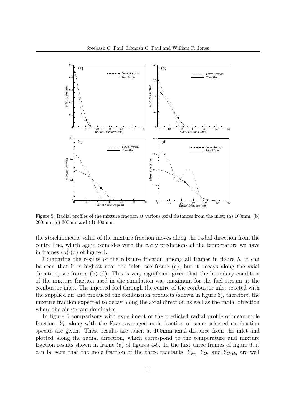

Figure 5: Radial profiles of the mixture fraction at various axial distances from the inlet; (a) 100mm, (b) 200mm, (c) 300mm and (d) 400mm.

the stoichiometric value of the mixture fraction moves along the radial direction from the centre line, which again coincides with the early predictions of the temperature we have in frames (b)-(d) of figure 4.

Comparing the results of the mixture fraction among all frames in figure 5, it can be seen that it is highest near the inlet, see frame (a); but it decays along the axial direction, see frames (b)-(d). This is very significant given that the boundary condition of the mixture fraction used in the simulation was maximum for the fuel stream at the combustor inlet. The injected fuel through the centre of the combustor inlet reacted with the supplied air and produced the combustion products (shown in figure 6), therefore, the mixture fraction expected to decay along the axial direction as well as the radial direction where the air stream dominates.

In figure 6 comparisons with experiment of the predicted radial profile of mean mole fraction,  $Y_i$ , along with the Favre-averaged mole fraction of some selected combustion species are given. These results are taken at 100mm axial distance from the inlet and plotted along the radial direction, which correspond to the temperature and mixture fraction results shown in frame (a) of figures 4-5. In the first three frames of figure 6, it can be seen that the mole fraction of the three reactants,  $Y_{N_2}$ ,  $Y_{O_2}$  and  $Y_{C_3H_8}$  are well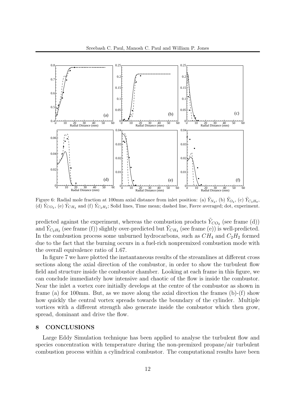

Figure 6: Radial mole fraction at 100mm axial distance from inlet position: (a)  $\tilde{Y}_{N_2}$ , (b)  $\tilde{Y}_{O_2}$ , (c)  $\tilde{Y}_{C_3H_8}$ , (d)  $\tilde{Y}_{CO_2}$ , (e)  $\tilde{Y}_{CH_4}$  and (f)  $\tilde{Y}_{C_2H_2}$ ; Solid lines, Time mean; dashed line, Favre averaged; dot, experiment.

predicted against the experiment, whereas the combustion products  $Y_{CO_2}$  (see frame (d)) and  $\tilde{Y}_{C_2H_2}$  (see frame (f)) slightly over-predicted but  $\tilde{Y}_{CH_4}$  (see frame (e)) is well-predicted. In the combustion process some unburned hydrocarbons, such as  $CH_4$  and  $C_2H_2$  formed due to the fact that the burning occurs in a fuel-rich nonpremixed combustion mode with the overall equivalence ratio of 1.67.

In figure 7 we have plotted the instantaneous results of the streamlines at different cross sections along the axial direction of the combustor, in order to show the turbulent flow field and structure inside the combustor chamber. Looking at each frame in this figure, we can conclude immediately how intensive and chaotic of the flow is inside the combustor. Near the inlet a vortex core initially develops at the centre of the combustor as shown in frame (a) for 100mm. But, as we move along the axial direction the frames  $(b)-(f)$  show how quickly the central vortex spreads towards the boundary of the cylinder. Multiple vortices with a different strength also generate inside the combustor which then grow, spread, dominant and drive the flow.

#### **8 CONCLUSIONS**

Large Eddy Simulation technique has been applied to analyse the turbulent flow and species concentration with temperature during the non-premixed propane/air turbulent combustion process within a cylindrical combustor. The computational results have been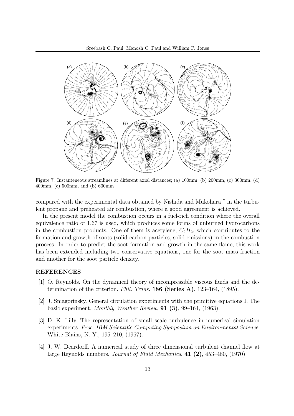

Figure 7: Instanteneous streamlines at different axial distances; (a) 100mm, (b) 200mm, (c) 300mm, (d) 400mm, (e) 500mm, and (b) 600mm

compared with the experimental data obtained by Nishida and Mukohara<sup>12</sup> in the turbulent propane and preheated air combustion, where a good agreement is achieved.

In the present model the combustion occurs in a fuel-rich condition where the overall equivalence ratio of 1.67 is used, which produces some forms of unburned hydrocarbons in the combustion products. One of them is acetylene,  $C_2H_2$ , which contributes to the formation and growth of soots (solid carbon particles, solid emissions) in the combustion process. In order to predict the soot formation and growth in the same flame, this work has been extended including two conservative equations, one for the soot mass fraction and another for the soot particle density.

#### **REFERENCES**

- [1] O. Reynolds. On the dynamical theory of incompressible viscous fluids and the determination of the criterion. *Phil. Trans.* **186 (Series A)**, 123–164, (1895).
- [2] J. Smagorinsky. General circulation experiments with the primitive equations I. The basic experiment. *Monthly Weather Review*, **91 (3)**, 99–164, (1963).
- [3] D. K. Lilly. The representation of small scale turbulence in numerical simulation experiments. *Proc. IBM Scientific Computing Symposium on Environmental Science*, White Blains, N. Y., 195–210, (1967).
- [4] J. W. Deardorff. A numerical study of three dimensional turbulent channel flow at large Reynolds numbers. *Journal of Fluid Mechanics*, **41 (2)**, 453–480, (1970).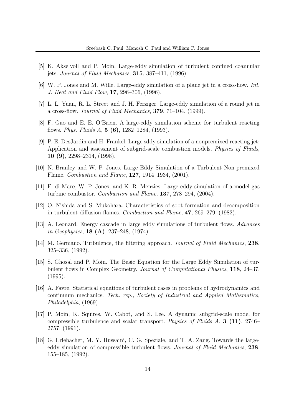- [5] K. Akselvoll and P. Moin. Large-eddy simulation of turbulent confined coannular jets. *Journal of Fluid Mechanics*, **315**, 387–411, (1996).
- [6] W. P. Jones and M. Wille. Large-eddy simulation of a plane jet in a cross-flow. *Int. J. Heat and Fluid Flow*, **17**, 296–306, (1996).
- [7] L. L. Yuan, R. L. Street and J. H. Ferziger. Large-eddy simulation of a round jet in a cross-flow. *Journal of Fluid Mechanics*, **379**, 71–104, (1999).
- [8] F. Gao and E. E. O'Brien. A large-eddy simulation scheme for turbulent reacting flows. *Phys. Fluids A*, **5 (6)**, 1282–1284, (1993).
- [9] P. E. DesJardin and H. Frankel. Large sddy simulation of a nonpremixed reacting jet: Application and assessment of subgrid-scale combustion models. *Physics of Fluids*, **10 (9)**, 2298–2314, (1998).
- [10] N. Branley and W. P. Jones. Large Eddy Simulation of a Turbulent Non-premixed Flame. *Combustion and Flame*, **127**, 1914–1934, (2001).
- [11] F. di Mare, W. P. Jones, and K. R. Menzies. Large eddy simulation of a model gas turbine combustor. *Combustion and Flame*, **137**, 278–294, (2004).
- [12] O. Nishida and S. Mukohara. Characteristics of soot formation and decomposition in turbulent diffusion flames. *Combustion and Flame*, **47**, 269–279, (1982).
- [13] A. Leonard. Energy cascade in large eddy simulations of turbulent flows. *Advances in Geophysics*, **18 (A)**, 237–248, (1974).
- [14] M. Germano. Turbulence, the filtering approach. *Journal of Fluid Mechanics*, **238**, 325–336, (1992).
- [15] S. Ghosal and P. Moin. The Basic Equation for the Large Eddy Simulation of turbulent flows in Complex Geometry. *Journal of Computational Physics*, **118**, 24–37, (1995).
- [16] A. Favre. Statistical equations of turbulent cases in problems of hydrodynamics and continuum mechanics. *Tech. rep., Society of Industrial and Applied Mathematics, Philadelphia*, (1969).
- [17] P. Moin, K. Squires, W. Cabot, and S. Lee. A dynamic subgrid-scale model for compressible turbulence and scalar transport. *Physics of Fluids A*, **3 (11)**, 2746– 2757, (1991).
- [18] G. Erlebacher, M. Y. Hussaini, C. G. Speziale, and T. A. Zang. Towards the largeeddy simulation of compressible turbulent flows. *Journal of Fluid Mechanics*, **238**, 155–185, (1992).